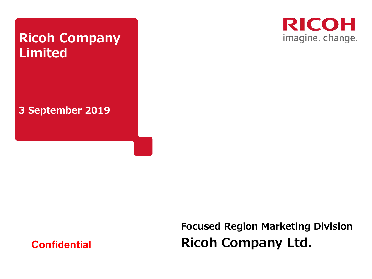# **Ricoh Company Limited**

**3 September 2019**



**Focused Region Marketing Division Ricoh Company Ltd.**

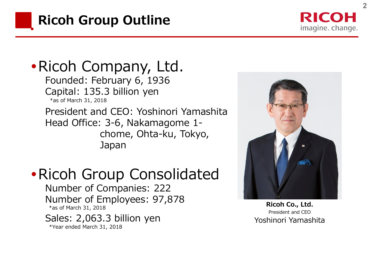

RICOH imagine. change.

Ricoh Company, Ltd. Founded: February 6, 1936 Capital: 135.3 billion yen \*as of March 31, 2018

President and CEO: Yoshinori Yamashita Head Office: 3-6, Nakamagome 1 chome, Ohta-ku, Tokyo, Japan

Ricoh Group Consolidated

Number of Companies: 222 Number of Employees: 97,878 \*as of March 31, 2018

Sales: 2,063.3 billion yen \*Year ended March 31, 2018



**Ricoh Co., Ltd.** President and CEO Yoshinori Yamashita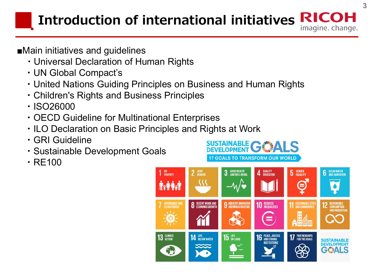#### **Introduction of international initiatives** imagine. change.

- **■**Main initiatives and guidelines
	- ・Universal Declaration of Human Rights
	- ・UN Global Compact's
	- ・United Nations Guiding Principles on Business and Human Rights
	- ・Children's Rights and Business Principles
	- ・ISO26000
	- ・OECD Guideline for Multinational Enterprises
	- ・ILO Declaration on Basic Principles and Rights at Work
	- ・GRI Guideline
	- ・Sustainable Development Goals
	- ・RE100

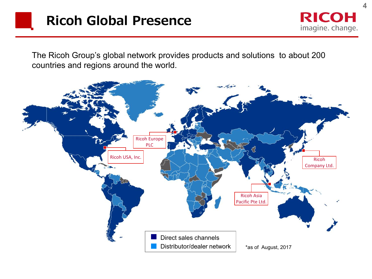**RICOH** imagine. change.

The Ricoh Group's global network provides products and solutions to about 200 countries and regions around the world.

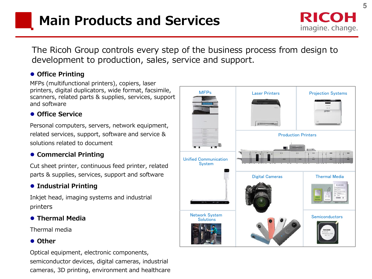The Ricoh Group controls every step of the business process from design to development to production, sales, service and support.

#### ⚫ **Office Printing**

MFPs (multifunctional printers), copiers, laser printers, digital duplicators, wide format, facsimile, scanners, related parts & supplies, services, support and software

#### ⚫ **Office Service**

Personal computers, servers, network equipment, related services, support, software and service & solutions related to document

#### ⚫ **Commercial Printing**

Cut sheet printer, continuous feed printer, related parts & supplies, services, support and software

#### ⚫ **Industrial Printing**

Inkjet head, imaging systems and industrial printers

#### ⚫ **Thermal Media**

Thermal media

#### ⚫ **Other**

Optical equipment, electronic components, semiconductor devices, digital cameras, industrial cameras, 3D printing, environment and healthcare

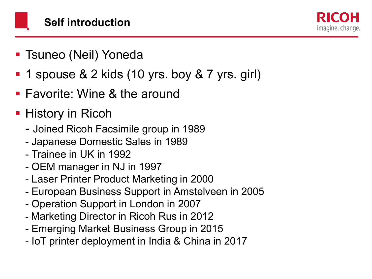imagine. change.

- Tsuneo (Neil) Yoneda
- 1 spouse  $& 2$  kids (10 yrs. boy  $& 7$  yrs. girl)
- Favorite: Wine & the around
- **History in Ricoh** 
	- Joined Ricoh Facsimile group in 1989
	- Japanese Domestic Sales in 1989
	- Trainee in UK in 1992
	- OEM manager in NJ in 1997
	- Laser Printer Product Marketing in 2000
	- European Business Support in Amstelveen in 2005
	- Operation Support in London in 2007
	- Marketing Director in Ricoh Rus in 2012
	- Emerging Market Business Group in 2015
	- IoT printer deployment in India & China in 2017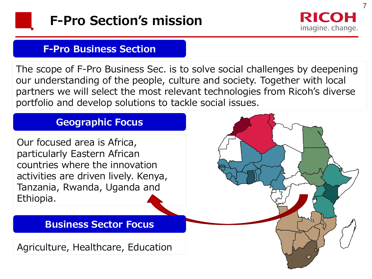



**7**

## **F-Pro Business Section**

The scope of F-Pro Business Sec. is to solve social challenges by deepening our understanding of the people, culture and society. Together with local partners we will select the most relevant technologies from Ricoh's diverse portfolio and develop solutions to tackle social issues.

# **Geographic Focus**

Our focused area is Africa, particularly Eastern African countries where the innovation activities are driven lively. Kenya, Tanzania, Rwanda, Uganda and Ethiopia.

# **Business Sector Focus**

Agriculture, Healthcare, Education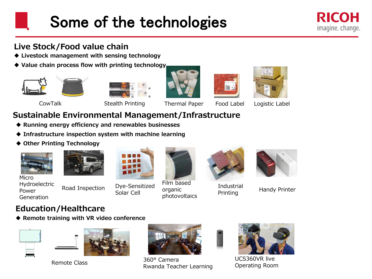# Some of the technologies

### **Live Stock/Food value chain**

- ◆ **Livestock management with sensing technology**
- ◆ **Value chain process flow with printing technology**











CowTalk Stealth Printing Thermal Paper Food Label Logistic Label

# **Sustainable Environmental Management/Infrastructure**

- ◆ **Running energy efficiency and renewables businesses**
- ◆ **Infrastructure inspection system with machine learning**
- ◆ **Other Printing Technology**





Micro Hydroelectric Power Generation

Road Inspection



Dye-Sensitized

Dye-Sensitized organic in this Brindistrial Handy Printer<br>Solar Cell Frinting Printing Film based organic photovoltaics



Industrial Printing



## **Education/Healthcare**

◆ **Remote training with VR video conference**





Remote Class



360° Camera Rwanda Teacher Learning



UCS360VR live Operating Room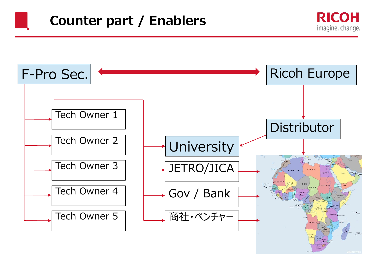